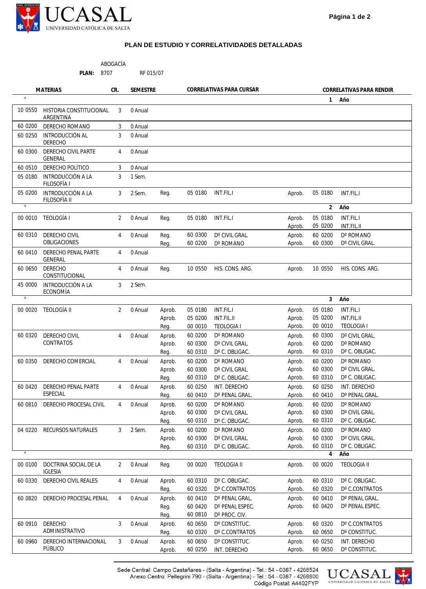

## **PLAN DE ESTUDIO Y CORRELATIVIDADES DETALLADAS**

| <b>MATERIAS</b><br><b>SEMESTRE</b><br>CORRELATIVAS PARA CURSAR<br>CR.<br>CORRELATIVAS PARA RENDIR<br>1° Año<br>10 0550<br>HISTORIA CONSTITUCIONAL<br>3<br>0 Anual<br>ARGENTINA<br>60 0200<br>DERECHO ROMANO<br>3<br>0 Anual<br>INTRODUCCIÓN AL<br>60 0250<br>3<br>0 Anual<br>DERECHO<br>DERECHO CIVIL PARTE<br>60 0300<br>0 Anual<br>4<br><b>GENERAL</b><br>DERECHO POLÍTICO<br>60 0510<br>3<br>0 Anual<br>05 0180<br>INTRODUCCIÓN A LA<br>3<br>1 Sem.<br>FILOSOFÍA I<br>INTRODUCCIÓN A LA<br>05 0200<br>3<br>2 Sem.<br>Reg.<br>05 0180<br><b>INT.FIL.I</b><br>05 0180<br>INT.FIL.I<br>Aprob.<br>FILOSOFÍA II<br>2° Año<br>00 0010 TEOLOGÍA I<br>2<br>0 Anual<br>05 0180<br>INT.FIL.I<br>05 0180<br><b>INT.FIL.I</b><br>Reg.<br>Aprob.<br>Aprob.<br>05 0200<br>INT.FIL.II<br>60 0300<br>D° CIVIL GRAL.<br>60 0310<br>DERECHO CIVIL<br>0 Anual<br>Reg.<br>Aprob.<br>60 0200<br>D° ROMANO<br>4<br>OBLIGACIONES<br>D° ROMANO<br>60 0300<br>D° CIVIL GRAL.<br>60 0200<br>Aprob.<br>Reg.<br>60 0410<br>DERECHO PENAL PARTE<br>0 Anual<br>4<br><b>GENERAL</b><br><b>DERECHO</b><br>60 0650<br>0 Anual<br>10 0550<br>HIS. CONS. ARG.<br>10 0550<br>HIS. CONS. ARG.<br>4<br>Reg.<br>Aprob.<br>CONSTITUCIONAL<br>INTRODUCCIÓN A LA<br>45 0000<br>3<br>2 Sem.<br>ECONOMÍA<br>3° Año<br>00 0020 TEOLOGÍA II<br>2<br>0 Anual<br>05 0180<br>INT.FIL.I<br>05 0180<br>INT.FIL.I<br>Aprob.<br>Aprob.<br>05 0200<br>Aprob.<br>05 0200<br>INT.FIL.II<br>Aprob.<br>INT.FIL.II | - ABOGACÍA<br>16<br>CARRERA:<br>MODALIDAD: PRESENCIAL |  |  |  |      |         | PLAN: 8707        |        | RF 015/07 |                   |  |
|------------------------------------------------------------------------------------------------------------------------------------------------------------------------------------------------------------------------------------------------------------------------------------------------------------------------------------------------------------------------------------------------------------------------------------------------------------------------------------------------------------------------------------------------------------------------------------------------------------------------------------------------------------------------------------------------------------------------------------------------------------------------------------------------------------------------------------------------------------------------------------------------------------------------------------------------------------------------------------------------------------------------------------------------------------------------------------------------------------------------------------------------------------------------------------------------------------------------------------------------------------------------------------------------------------------------------------------------------------------------------------------------------------------------------------------------------------|-------------------------------------------------------|--|--|--|------|---------|-------------------|--------|-----------|-------------------|--|
|                                                                                                                                                                                                                                                                                                                                                                                                                                                                                                                                                                                                                                                                                                                                                                                                                                                                                                                                                                                                                                                                                                                                                                                                                                                                                                                                                                                                                                                            |                                                       |  |  |  |      |         |                   |        |           |                   |  |
|                                                                                                                                                                                                                                                                                                                                                                                                                                                                                                                                                                                                                                                                                                                                                                                                                                                                                                                                                                                                                                                                                                                                                                                                                                                                                                                                                                                                                                                            |                                                       |  |  |  |      |         |                   |        |           |                   |  |
|                                                                                                                                                                                                                                                                                                                                                                                                                                                                                                                                                                                                                                                                                                                                                                                                                                                                                                                                                                                                                                                                                                                                                                                                                                                                                                                                                                                                                                                            |                                                       |  |  |  |      |         |                   |        |           |                   |  |
|                                                                                                                                                                                                                                                                                                                                                                                                                                                                                                                                                                                                                                                                                                                                                                                                                                                                                                                                                                                                                                                                                                                                                                                                                                                                                                                                                                                                                                                            |                                                       |  |  |  |      |         |                   |        |           |                   |  |
|                                                                                                                                                                                                                                                                                                                                                                                                                                                                                                                                                                                                                                                                                                                                                                                                                                                                                                                                                                                                                                                                                                                                                                                                                                                                                                                                                                                                                                                            |                                                       |  |  |  |      |         |                   |        |           |                   |  |
|                                                                                                                                                                                                                                                                                                                                                                                                                                                                                                                                                                                                                                                                                                                                                                                                                                                                                                                                                                                                                                                                                                                                                                                                                                                                                                                                                                                                                                                            |                                                       |  |  |  |      |         |                   |        |           |                   |  |
|                                                                                                                                                                                                                                                                                                                                                                                                                                                                                                                                                                                                                                                                                                                                                                                                                                                                                                                                                                                                                                                                                                                                                                                                                                                                                                                                                                                                                                                            |                                                       |  |  |  |      |         |                   |        |           |                   |  |
|                                                                                                                                                                                                                                                                                                                                                                                                                                                                                                                                                                                                                                                                                                                                                                                                                                                                                                                                                                                                                                                                                                                                                                                                                                                                                                                                                                                                                                                            |                                                       |  |  |  |      |         |                   |        |           |                   |  |
|                                                                                                                                                                                                                                                                                                                                                                                                                                                                                                                                                                                                                                                                                                                                                                                                                                                                                                                                                                                                                                                                                                                                                                                                                                                                                                                                                                                                                                                            |                                                       |  |  |  |      |         |                   |        |           |                   |  |
|                                                                                                                                                                                                                                                                                                                                                                                                                                                                                                                                                                                                                                                                                                                                                                                                                                                                                                                                                                                                                                                                                                                                                                                                                                                                                                                                                                                                                                                            |                                                       |  |  |  |      |         |                   |        |           |                   |  |
|                                                                                                                                                                                                                                                                                                                                                                                                                                                                                                                                                                                                                                                                                                                                                                                                                                                                                                                                                                                                                                                                                                                                                                                                                                                                                                                                                                                                                                                            |                                                       |  |  |  |      |         |                   |        |           |                   |  |
|                                                                                                                                                                                                                                                                                                                                                                                                                                                                                                                                                                                                                                                                                                                                                                                                                                                                                                                                                                                                                                                                                                                                                                                                                                                                                                                                                                                                                                                            |                                                       |  |  |  |      |         |                   |        |           |                   |  |
|                                                                                                                                                                                                                                                                                                                                                                                                                                                                                                                                                                                                                                                                                                                                                                                                                                                                                                                                                                                                                                                                                                                                                                                                                                                                                                                                                                                                                                                            |                                                       |  |  |  |      |         |                   |        |           |                   |  |
|                                                                                                                                                                                                                                                                                                                                                                                                                                                                                                                                                                                                                                                                                                                                                                                                                                                                                                                                                                                                                                                                                                                                                                                                                                                                                                                                                                                                                                                            |                                                       |  |  |  |      |         |                   |        |           |                   |  |
|                                                                                                                                                                                                                                                                                                                                                                                                                                                                                                                                                                                                                                                                                                                                                                                                                                                                                                                                                                                                                                                                                                                                                                                                                                                                                                                                                                                                                                                            |                                                       |  |  |  |      |         |                   |        |           |                   |  |
|                                                                                                                                                                                                                                                                                                                                                                                                                                                                                                                                                                                                                                                                                                                                                                                                                                                                                                                                                                                                                                                                                                                                                                                                                                                                                                                                                                                                                                                            |                                                       |  |  |  |      |         |                   |        |           |                   |  |
|                                                                                                                                                                                                                                                                                                                                                                                                                                                                                                                                                                                                                                                                                                                                                                                                                                                                                                                                                                                                                                                                                                                                                                                                                                                                                                                                                                                                                                                            |                                                       |  |  |  |      |         |                   |        |           |                   |  |
|                                                                                                                                                                                                                                                                                                                                                                                                                                                                                                                                                                                                                                                                                                                                                                                                                                                                                                                                                                                                                                                                                                                                                                                                                                                                                                                                                                                                                                                            |                                                       |  |  |  |      |         |                   |        |           |                   |  |
|                                                                                                                                                                                                                                                                                                                                                                                                                                                                                                                                                                                                                                                                                                                                                                                                                                                                                                                                                                                                                                                                                                                                                                                                                                                                                                                                                                                                                                                            |                                                       |  |  |  | Reg. | 00 0010 | <b>TEOLOGIA I</b> | Aprob. | 00 0010   | <b>TEOLOGIA I</b> |  |
| 60 0320<br>DERECHO CIVIL<br>60 0200<br>D° ROMANO<br>D° CIVIL GRAL.<br>$\overline{4}$<br>0 Anual<br>Aprob.<br>Aprob.<br>60 0300                                                                                                                                                                                                                                                                                                                                                                                                                                                                                                                                                                                                                                                                                                                                                                                                                                                                                                                                                                                                                                                                                                                                                                                                                                                                                                                             |                                                       |  |  |  |      |         |                   |        |           |                   |  |
| <b>CONTRATOS</b><br>60 0200<br>60 0300<br>D° CIVIL GRAL.<br>Aprob.<br>D° ROMANO<br>Aprob.<br>60 0310<br>D° C. OBLIGAC.                                                                                                                                                                                                                                                                                                                                                                                                                                                                                                                                                                                                                                                                                                                                                                                                                                                                                                                                                                                                                                                                                                                                                                                                                                                                                                                                     |                                                       |  |  |  |      |         |                   |        |           |                   |  |
| 60 0310<br>Aprob.<br>D° C. OBLIGAC.<br>Reg.                                                                                                                                                                                                                                                                                                                                                                                                                                                                                                                                                                                                                                                                                                                                                                                                                                                                                                                                                                                                                                                                                                                                                                                                                                                                                                                                                                                                                |                                                       |  |  |  |      |         |                   |        |           |                   |  |
| 60 0350<br>DERECHO COMERCIAL<br>0 Anual<br>Aprob.<br>60 0200<br>D° ROMANO<br>Aprob.<br>60 0200<br>D° ROMANO<br>4<br>Aprob.<br>60 0300<br>D° CIVIL GRAL.<br>60 0300<br>D° CIVIL GRAL.<br>Aprob.                                                                                                                                                                                                                                                                                                                                                                                                                                                                                                                                                                                                                                                                                                                                                                                                                                                                                                                                                                                                                                                                                                                                                                                                                                                             |                                                       |  |  |  |      |         |                   |        |           |                   |  |
| 60 0310<br>D° C. OBLIGAC.<br>60 0310<br>D° C. OBLIGAC.<br>Aprob.<br>Reg.                                                                                                                                                                                                                                                                                                                                                                                                                                                                                                                                                                                                                                                                                                                                                                                                                                                                                                                                                                                                                                                                                                                                                                                                                                                                                                                                                                                   |                                                       |  |  |  |      |         |                   |        |           |                   |  |
| DERECHO PENAL PARTE<br>INT. DERECHO<br>INT. DERECHO<br>60 04 20<br>0 Anual<br>Aprob.<br>60 0250<br>Aprob.<br>60 0250<br>4                                                                                                                                                                                                                                                                                                                                                                                                                                                                                                                                                                                                                                                                                                                                                                                                                                                                                                                                                                                                                                                                                                                                                                                                                                                                                                                                  |                                                       |  |  |  |      |         |                   |        |           |                   |  |
| <b>ESPECIAL</b><br>60 0410<br>D° PENAL GRAL.<br>60 0410<br>D° PENAL GRAL.<br>Aprob.<br>Reg.                                                                                                                                                                                                                                                                                                                                                                                                                                                                                                                                                                                                                                                                                                                                                                                                                                                                                                                                                                                                                                                                                                                                                                                                                                                                                                                                                                |                                                       |  |  |  |      |         |                   |        |           |                   |  |
| D° ROMANO<br>D° ROMANO<br>DERECHO PROCESAL CIVIL<br>0 Anual<br>60 0200<br>Aprob.<br>60 0200<br>60 0810<br>4<br>Aprob.                                                                                                                                                                                                                                                                                                                                                                                                                                                                                                                                                                                                                                                                                                                                                                                                                                                                                                                                                                                                                                                                                                                                                                                                                                                                                                                                      |                                                       |  |  |  |      |         |                   |        |           |                   |  |
| D° CIVIL GRAL.<br>60 0300<br>D° CIVIL GRAL.<br>60 0300<br>Aprob.<br>Aprob.                                                                                                                                                                                                                                                                                                                                                                                                                                                                                                                                                                                                                                                                                                                                                                                                                                                                                                                                                                                                                                                                                                                                                                                                                                                                                                                                                                                 |                                                       |  |  |  |      |         |                   |        |           |                   |  |
| 60 0310<br>D° C. OBLIGAC.<br>D° C. OBLIGAC.<br>Aprob.<br>60 0310<br>Reg.                                                                                                                                                                                                                                                                                                                                                                                                                                                                                                                                                                                                                                                                                                                                                                                                                                                                                                                                                                                                                                                                                                                                                                                                                                                                                                                                                                                   |                                                       |  |  |  |      |         |                   |        |           |                   |  |
| 3<br>60 0200<br>D° ROMANO<br>60 0200<br>D° ROMANO<br>04 0220<br>RECURSOS NATURALES<br>2 Sem.<br>Aprob.<br>Aprob.                                                                                                                                                                                                                                                                                                                                                                                                                                                                                                                                                                                                                                                                                                                                                                                                                                                                                                                                                                                                                                                                                                                                                                                                                                                                                                                                           |                                                       |  |  |  |      |         |                   |        |           |                   |  |
| 60 0300<br>D° CIVIL GRAL.<br>60 0300<br>D° CIVIL GRAL.<br>Aprob.<br>Aprob.<br>60 0310                                                                                                                                                                                                                                                                                                                                                                                                                                                                                                                                                                                                                                                                                                                                                                                                                                                                                                                                                                                                                                                                                                                                                                                                                                                                                                                                                                      |                                                       |  |  |  |      |         |                   |        |           |                   |  |
| D° C. OBLIGAC.<br>Aprob.<br>D° C. OBLIGAC.<br>4° Año                                                                                                                                                                                                                                                                                                                                                                                                                                                                                                                                                                                                                                                                                                                                                                                                                                                                                                                                                                                                                                                                                                                                                                                                                                                                                                                                                                                                       | 60 0310<br>Reg.                                       |  |  |  |      |         |                   |        |           |                   |  |
| DOCTRINA SOCIAL DE LA<br>0 Anual<br>00 00 20<br><b>TEOLOGIA II</b><br>00 0020<br><b>TEOLOGIA II</b><br>00 0100<br>2<br>Reg.<br>Aprob.                                                                                                                                                                                                                                                                                                                                                                                                                                                                                                                                                                                                                                                                                                                                                                                                                                                                                                                                                                                                                                                                                                                                                                                                                                                                                                                      |                                                       |  |  |  |      |         |                   |        |           |                   |  |
| <b>IGLESIA</b>                                                                                                                                                                                                                                                                                                                                                                                                                                                                                                                                                                                                                                                                                                                                                                                                                                                                                                                                                                                                                                                                                                                                                                                                                                                                                                                                                                                                                                             |                                                       |  |  |  |      |         |                   |        |           |                   |  |
| D° C. OBLIGAC.<br>D° C. OBLIGAC.<br>60 0330<br>DERECHO CIVIL REALES<br>60 0310<br>60 0310<br>4<br>0 Anual<br>Aprob.<br>Aprob.<br>D° C.CONTRATOS<br>60 0320<br>D° C.CONTRATOS<br>Aprob.<br>60 0320<br>Reg.                                                                                                                                                                                                                                                                                                                                                                                                                                                                                                                                                                                                                                                                                                                                                                                                                                                                                                                                                                                                                                                                                                                                                                                                                                                  |                                                       |  |  |  |      |         |                   |        |           |                   |  |
| DERECHO PROCESAL PENAL<br>0 Anual<br>60 0410<br>D° PENAL GRAL.<br>60 0410<br>D° PENAL GRAL.<br>60 0820<br>4<br>Aprob.<br>Aprob.                                                                                                                                                                                                                                                                                                                                                                                                                                                                                                                                                                                                                                                                                                                                                                                                                                                                                                                                                                                                                                                                                                                                                                                                                                                                                                                            |                                                       |  |  |  |      |         |                   |        |           |                   |  |
| 60 04 20<br>D° PENAL ESPEC.<br>60 0420<br>D° PENAL ESPEC.<br>Aprob.<br>Reg.                                                                                                                                                                                                                                                                                                                                                                                                                                                                                                                                                                                                                                                                                                                                                                                                                                                                                                                                                                                                                                                                                                                                                                                                                                                                                                                                                                                |                                                       |  |  |  |      |         |                   |        |           |                   |  |
| D° PROC. CIV.<br>60 0810<br>Reg.                                                                                                                                                                                                                                                                                                                                                                                                                                                                                                                                                                                                                                                                                                                                                                                                                                                                                                                                                                                                                                                                                                                                                                                                                                                                                                                                                                                                                           |                                                       |  |  |  |      |         |                   |        |           |                   |  |
| <b>DERECHO</b><br>3<br>D° C.CONTRATOS<br>60 0910<br>0 Anual<br>60 0650<br>D° CONSTITUC.<br>60 0320<br>Aprob.<br>Aprob.<br>ADMINISTRATIVO<br>60 0320<br>D° C.CONTRATOS<br>D° CONSTITUC.<br>Aprob.<br>60 0650<br>Reg.                                                                                                                                                                                                                                                                                                                                                                                                                                                                                                                                                                                                                                                                                                                                                                                                                                                                                                                                                                                                                                                                                                                                                                                                                                        |                                                       |  |  |  |      |         |                   |        |           |                   |  |
| DERECHO INTERNACIONAL<br>3<br>0 Anual<br>60 0650<br>D° CONSTITUC.<br>60 0250<br>INT. DERECHO<br>60 0960<br>Aprob.<br>Aprob.                                                                                                                                                                                                                                                                                                                                                                                                                                                                                                                                                                                                                                                                                                                                                                                                                                                                                                                                                                                                                                                                                                                                                                                                                                                                                                                                |                                                       |  |  |  |      |         |                   |        |           |                   |  |
| PÚBLICO<br>INT. DERECHO<br>60 0250<br>60 0650<br>D° CONSTITUC.<br>Aprob.<br>Aprob.                                                                                                                                                                                                                                                                                                                                                                                                                                                                                                                                                                                                                                                                                                                                                                                                                                                                                                                                                                                                                                                                                                                                                                                                                                                                                                                                                                         |                                                       |  |  |  |      |         |                   |        |           |                   |  |